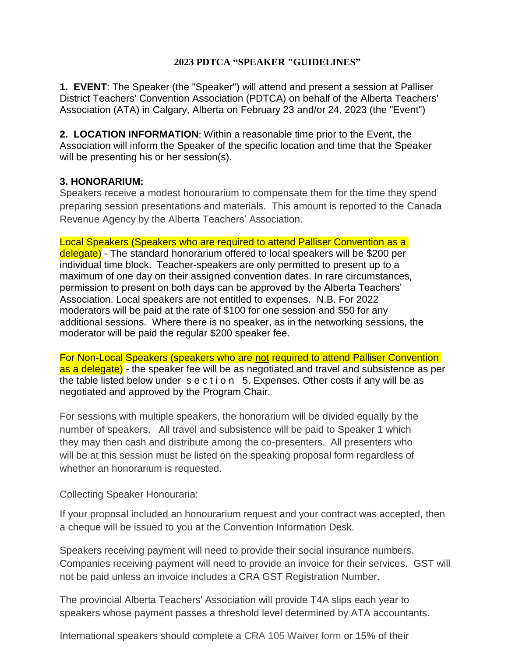#### **2023 PDTCA "SPEAKER "GUIDELINES"**

**1. EVENT**: The Speaker (the "Speaker") will attend and present a session at Palliser District Teachers' Convention Association (PDTCA) on behalf of the Alberta Teachers' Association (ATA) in Calgary, Alberta on February 23 and/or 24, 2023 (the "Event")

**2. LOCATION INFORMATION**: Within a reasonable time prior to the Event, the Association will inform the Speaker of the specific location and time that the Speaker will be presenting his or her session(s).

### **3. HONORARIUM:**

Speakers receive a modest honourarium to compensate them for the time they spend preparing session presentations and materials. This amount is reported to the Canada Revenue Agency by the Alberta Teachers' Association.

Local Speakers (Speakers who are required to attend Palliser Convention as a delegate) - The standard honorarium offered to local speakers will be \$200 per individual time block. Teacher-speakers are only permitted to present up to a maximum of one day on their assigned convention dates. In rare circumstances, permission to present on both days can be approved by the Alberta Teachers' Association. Local speakers are not entitled to expenses. N.B. For 2022 moderators will be paid at the rate of \$100 for one session and \$50 for any additional sessions. Where there is no speaker, as in the networking sessions, the moderator will be paid the regular \$200 speaker fee.

For Non-Local Speakers (speakers who are not required to attend Palliser Convention as a delegate) - the speaker fee will be as negotiated and travel and subsistence as per the table listed below under s e c t i o n 5. Expenses. Other costs if any will be as negotiated and approved by the Program Chair.

For sessions with multiple speakers, the honorarium will be divided equally by the number of speakers. All travel and subsistence will be paid to Speaker 1 which they may then cash and distribute among the co-presenters. All presenters who will be at this session must be listed on the speaking proposal form regardless of whether an honorarium is requested.

Collecting Speaker Honouraria:

If your proposal included an honourarium request and your contract was accepted, then a cheque will be issued to you at the Convention Information Desk.

Speakers receiving payment will need to provide their social insurance numbers. Companies receiving payment will need to provide an invoice for their services. GST will not be paid unless an invoice includes a CRA GST Registration Number.

The provincial Alberta Teachers' Association will provide T4A slips each year to speakers whose payment passes a threshold level determined by ATA accountants.

International speakers should complete a CRA 105 [Waiver form](http://www.cra-arc.gc.ca/E/pbg/tf/r105/README.html) or 15% of their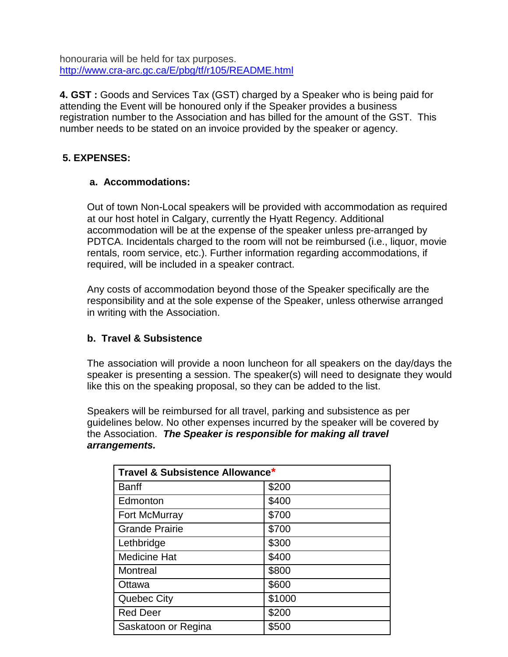honouraria will be held for tax purposes. <http://www.cra-arc.gc.ca/E/pbg/tf/r105/README.html>

**4. GST :** Goods and Services Tax (GST) charged by a Speaker who is being paid for attending the Event will be honoured only if the Speaker provides a business registration number to the Association and has billed for the amount of the GST. This number needs to be stated on an invoice provided by the speaker or agency.

# **5. EXPENSES:**

## **a. Accommodations:**

Out of town Non-Local speakers will be provided with accommodation as required at our host hotel in Calgary, currently the Hyatt Regency. Additional accommodation will be at the expense of the speaker unless pre-arranged by PDTCA. Incidentals charged to the room will not be reimbursed (i.e., liquor, movie rentals, room service, etc.). Further information regarding accommodations, if required, will be included in a speaker contract.

Any costs of accommodation beyond those of the Speaker specifically are the responsibility and at the sole expense of the Speaker, unless otherwise arranged in writing with the Association.

## **b. Travel & Subsistence**

The association will provide a noon luncheon for all speakers on the day/days the speaker is presenting a session. The speaker(s) will need to designate they would like this on the speaking proposal, so they can be added to the list.

Speakers will be reimbursed for all travel, parking and subsistence as per guidelines below. No other expenses incurred by the speaker will be covered by the Association. *The Speaker is responsible for making all travel arrangements.*

| Travel & Subsistence Allowance* |        |
|---------------------------------|--------|
| <b>Banff</b>                    | \$200  |
| Edmonton                        | \$400  |
| Fort McMurray                   | \$700  |
| <b>Grande Prairie</b>           | \$700  |
| Lethbridge                      | \$300  |
| <b>Medicine Hat</b>             | \$400  |
| Montreal                        | \$800  |
| Ottawa                          | \$600  |
| <b>Quebec City</b>              | \$1000 |
| <b>Red Deer</b>                 | \$200  |
| Saskatoon or Regina             | \$500  |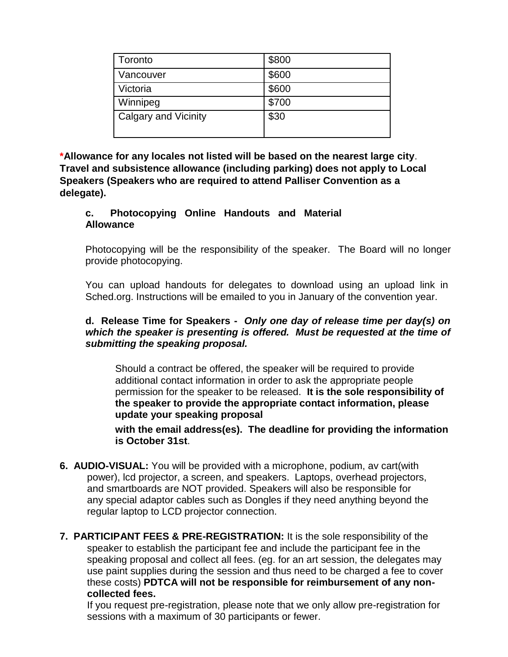| Toronto                     | \$800 |
|-----------------------------|-------|
| Vancouver                   | \$600 |
| Victoria                    | \$600 |
| Winnipeg                    | \$700 |
| <b>Calgary and Vicinity</b> | \$30  |

**\*Allowance for any locales not listed will be based on the nearest large city**. **Travel and subsistence allowance (including parking) does not apply to Local Speakers (Speakers who are required to attend Palliser Convention as a delegate).**

### **c. Photocopying Online Handouts and Material Allowance**

Photocopying will be the responsibility of the speaker. The Board will no longer provide photocopying.

You can upload handouts for delegates to download using an upload link in Sched.org. Instructions will be emailed to you in January of the convention year.

### **d. Release Time for Speakers -** *Only one day of release time per day(s) on which the speaker is presenting is offered. Must be requested at the time of submitting the speaking proposal.*

Should a contract be offered, the speaker will be required to provide additional contact information in order to ask the appropriate people permission for the speaker to be released. **It is the sole responsibility of the speaker to provide the appropriate contact information, please update your speaking proposal**

**with the email address(es). The deadline for providing the information is October 31st**.

- **6. AUDIO-VISUAL:** You will be provided with a microphone, podium, av cart(with power), lcd projector, a screen, and speakers. Laptops, overhead projectors, and smartboards are NOT provided. Speakers will also be responsible for any special adaptor cables such as Dongles if they need anything beyond the regular laptop to LCD projector connection.
- **7. PARTICIPANT FEES & PRE-REGISTRATION:** It is the sole responsibility of the speaker to establish the participant fee and include the participant fee in the speaking proposal and collect all fees. (eg. for an art session, the delegates may use paint supplies during the session and thus need to be charged a fee to cover these costs) **PDTCA will not be responsible for reimbursement of any noncollected fees.**

If you request pre-registration, please note that we only allow pre-registration for sessions with a maximum of 30 participants or fewer.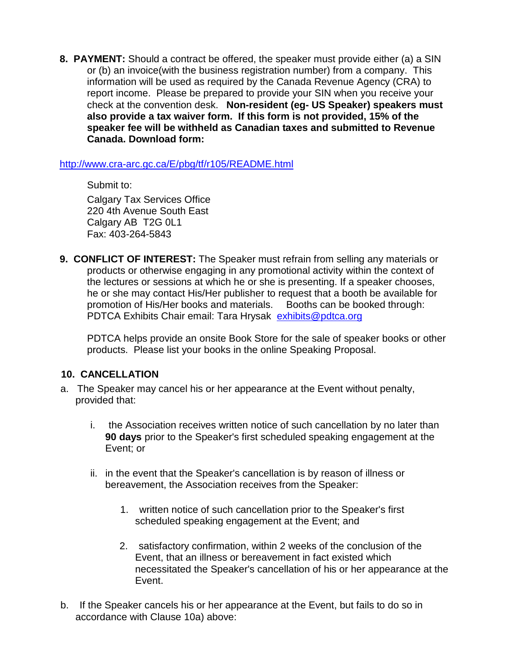**8. PAYMENT:** Should a contract be offered, the speaker must provide either (a) a SIN or (b) an invoice(with the business registration number) from a company. This information will be used as required by the Canada Revenue Agency (CRA) to report income. Please be prepared to provide your SIN when you receive your check at the convention desk. **Non-resident (eg- US Speaker) speakers must also provide a tax waiver form. If this form is not provided, 15% of the speaker fee will be withheld as Canadian taxes and submitted to Revenue Canada. Download form:**

<http://www.cra-arc.gc.ca/E/pbg/tf/r105/README.html>

Submit to: Calgary Tax Services Office 220 4th Avenue South East Calgary AB T2G 0L1 Fax: 403-264-5843

**9. CONFLICT OF INTEREST:** The Speaker must refrain from selling any materials or products or otherwise engaging in any promotional activity within the context of the lectures or sessions at which he or she is presenting. If a speaker chooses, he or she may contact His/Her publisher to request that a booth be available for promotion of His/Her books and materials. Booths can be booked through: PDTCA Exhibits Chair email: Tara Hrysak [exhibits@pdtca.org](mailto:exhibits@pdtca.org)

PDTCA helps provide an onsite Book Store for the sale of speaker books or other products. Please list your books in the online Speaking Proposal.

## **10. CANCELLATION**

- a. The Speaker may cancel his or her appearance at the Event without penalty, provided that:
	- i. the Association receives written notice of such cancellation by no later than **90 days** prior to the Speaker's first scheduled speaking engagement at the Event; or
	- ii. in the event that the Speaker's cancellation is by reason of illness or bereavement, the Association receives from the Speaker:
		- 1. written notice of such cancellation prior to the Speaker's first scheduled speaking engagement at the Event; and
		- 2. satisfactory confirmation, within 2 weeks of the conclusion of the Event, that an illness or bereavement in fact existed which necessitated the Speaker's cancellation of his or her appearance at the Event.
- b. If the Speaker cancels his or her appearance at the Event, but fails to do so in accordance with Clause 10a) above: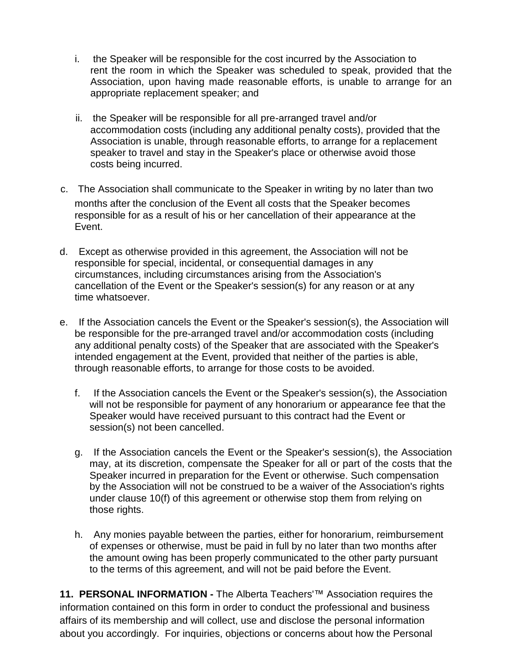- i. the Speaker will be responsible for the cost incurred by the Association to rent the room in which the Speaker was scheduled to speak, provided that the Association, upon having made reasonable efforts, is unable to arrange for an appropriate replacement speaker; and
- ii. the Speaker will be responsible for all pre-arranged travel and/or accommodation costs (including any additional penalty costs), provided that the Association is unable, through reasonable efforts, to arrange for a replacement speaker to travel and stay in the Speaker's place or otherwise avoid those costs being incurred.
- c. The Association shall communicate to the Speaker in writing by no later than two months after the conclusion of the Event all costs that the Speaker becomes responsible for as a result of his or her cancellation of their appearance at the Event.
- d. Except as otherwise provided in this agreement, the Association will not be responsible for special, incidental, or consequential damages in any circumstances, including circumstances arising from the Association's cancellation of the Event or the Speaker's session(s) for any reason or at any time whatsoever.
- e. If the Association cancels the Event or the Speaker's session(s), the Association will be responsible for the pre-arranged travel and/or accommodation costs (including any additional penalty costs) of the Speaker that are associated with the Speaker's intended engagement at the Event, provided that neither of the parties is able, through reasonable efforts, to arrange for those costs to be avoided.
	- f. If the Association cancels the Event or the Speaker's session(s), the Association will not be responsible for payment of any honorarium or appearance fee that the Speaker would have received pursuant to this contract had the Event or session(s) not been cancelled.
	- g. If the Association cancels the Event or the Speaker's session(s), the Association may, at its discretion, compensate the Speaker for all or part of the costs that the Speaker incurred in preparation for the Event or otherwise. Such compensation by the Association will not be construed to be a waiver of the Association's rights under clause 10(f) of this agreement or otherwise stop them from relying on those rights.
	- h. Any monies payable between the parties, either for honorarium, reimbursement of expenses or otherwise, must be paid in full by no later than two months after the amount owing has been properly communicated to the other party pursuant to the terms of this agreement, and will not be paid before the Event.

**11. PERSONAL INFORMATION -** The Alberta Teachers'™ Association requires the information contained on this form in order to conduct the professional and business affairs of its membership and will collect, use and disclose the personal information about you accordingly. For inquiries, objections or concerns about how the Personal